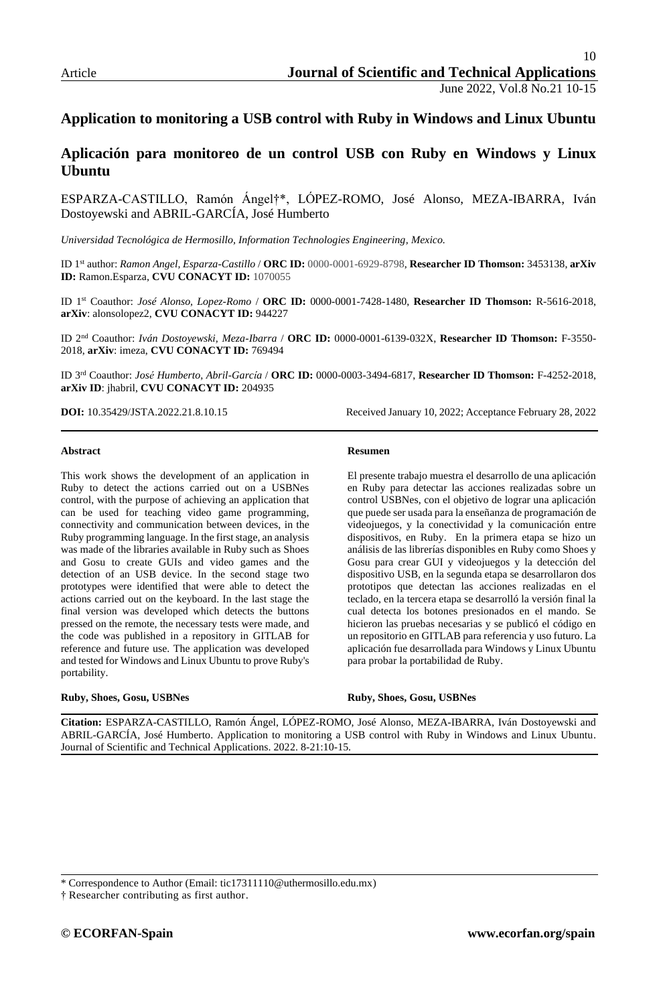# **Application to monitoring a USB control with Ruby in Windows and Linux Ubuntu**

# **Aplicación para monitoreo de un control USB con Ruby en Windows y Linux Ubuntu**

ESPARZA-CASTILLO, Ramón Ángel†\*, LÓPEZ-ROMO, José Alonso, MEZA-IBARRA, Iván Dostoyewski and ABRIL-GARCÍA, José Humberto

*Universidad Tecnológica de Hermosillo, Information Technologies Engineering, Mexico.*

ID 1st author: *Ramon Angel, Esparza-Castillo* / **ORC ID:** 0000-0001-6929-8798, **Researcher ID Thomson:** 3453138, **arXiv ID:** Ramon.Esparza, **CVU CONACYT ID:** 1070055

ID 1st Coauthor: *José Alonso, Lopez-Romo* / **ORC ID:** 0000-0001-7428-1480, **Researcher ID Thomson:** R-5616-2018, **arXiv**: alonsolopez2, **CVU CONACYT ID:** 944227

ID 2nd Coauthor: *Iván Dostoyewski, Meza-Ibarra* / **ORC ID:** 0000-0001-6139-032X, **Researcher ID Thomson:** F-3550- 2018, **arXiv**: imeza, **CVU CONACYT ID:** 769494

ID 3rd Coauthor: *José Humberto, Abril-García* / **ORC ID:** 0000-0003-3494-6817, **Researcher ID Thomson:** F-4252-2018, **arXiv ID**: jhabril, **CVU CONACYT ID:** 204935

**DOI:** 10.35429/JSTA.2022.21.8.10.15 Received January 10, 2022; Acceptance February 28, 2022

#### **Abstract**

This work shows the development of an application in Ruby to detect the actions carried out on a USBNes control, with the purpose of achieving an application that can be used for teaching video game programming, connectivity and communication between devices, in the Ruby programming language. In the first stage, an analysis was made of the libraries available in Ruby such as Shoes and Gosu to create GUIs and video games and the detection of an USB device. In the second stage two prototypes were identified that were able to detect the actions carried out on the keyboard. In the last stage the final version was developed which detects the buttons pressed on the remote, the necessary tests were made, and the code was published in a repository in GITLAB for reference and future use. The application was developed and tested for Windows and Linux Ubuntu to prove Ruby's portability.

#### **Ruby, Shoes, Gosu, USBNes**

**Resumen**

El presente trabajo muestra el desarrollo de una aplicación en Ruby para detectar las acciones realizadas sobre un control USBNes, con el objetivo de lograr una aplicación que puede ser usada para la enseñanza de programación de videojuegos, y la conectividad y la comunicación entre dispositivos, en Ruby. En la primera etapa se hizo un análisis de las librerías disponibles en Ruby como Shoes y Gosu para crear GUI y videojuegos y la detección del dispositivo USB, en la segunda etapa se desarrollaron dos prototipos que detectan las acciones realizadas en el teclado, en la tercera etapa se desarrolló la versión final la cual detecta los botones presionados en el mando. Se hicieron las pruebas necesarias y se publicó el código en un repositorio en GITLAB para referencia y uso futuro. La aplicación fue desarrollada para Windows y Linux Ubuntu para probar la portabilidad de Ruby.

**Ruby, Shoes, Gosu, USBNes**

**Citation:** ESPARZA-CASTILLO, Ramón Ángel, LÓPEZ-ROMO, José Alonso, MEZA-IBARRA, Iván Dostoyewski and ABRIL-GARCÍA, José Humberto. Application to monitoring a USB control with Ruby in Windows and Linux Ubuntu. Journal of Scientific and Technical Applications. 2022. 8-21:10-15.

† Researcher contributing as first author.

<sup>\*</sup> Correspondence to Author (Email: tic17311110@uthermosillo.edu.mx)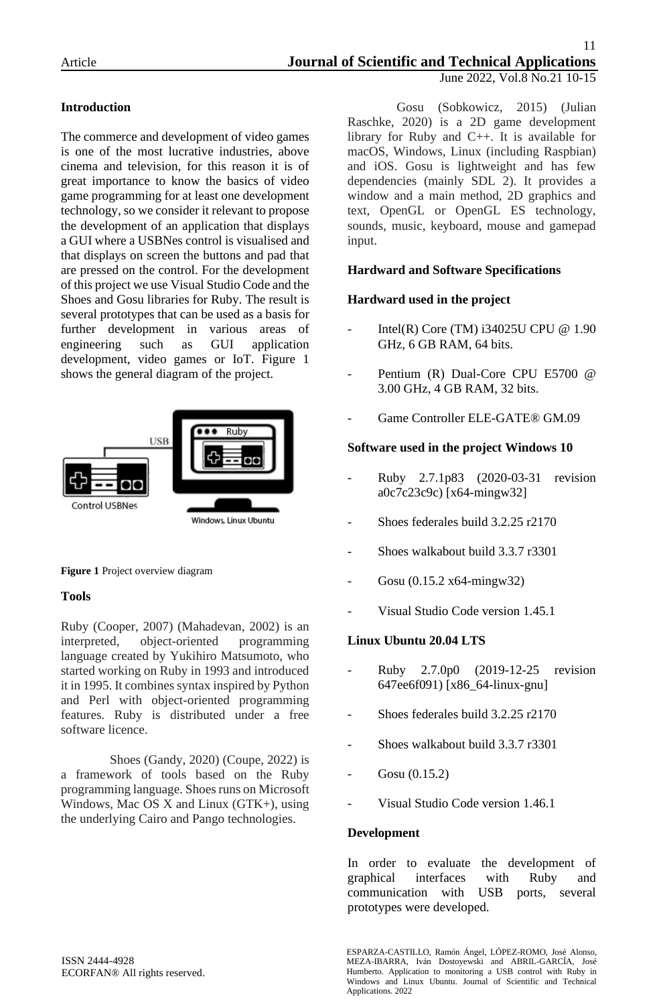# **Introduction**

The commerce and development of video games is one of the most lucrative industries, above cinema and television, for this reason it is of great importance to know the basics of video game programming for at least one development technology, so we consider it relevant to propose the development of an application that displays a GUI where a USBNes control is visualised and that displays on screen the buttons and pad that are pressed on the control. For the development of this project we use Visual Studio Code and the Shoes and Gosu libraries for Ruby. The result is several prototypes that can be used as a basis for further development in various areas of engineering such as GUI application development, video games or IoT. Figure 1 shows the general diagram of the project.



### **Figure 1** Project overview diagram

### **Tools**

Ruby (Cooper, 2007) (Mahadevan, 2002) is an interpreted, object-oriented programming language created by Yukihiro Matsumoto, who started working on Ruby in 1993 and introduced it in 1995. It combines syntax inspired by Python and Perl with object-oriented programming features. Ruby is distributed under a free software licence.

Shoes (Gandy, 2020) (Coupe, 2022) is a framework of tools based on the Ruby programming language. Shoes runs on Microsoft Windows, Mac OS X and Linux (GTK+), using the underlying Cairo and Pango technologies.

Gosu (Sobkowicz, 2015) (Julian Raschke, 2020) is a 2D game development library for Ruby and C++. It is available for macOS, Windows, Linux (including Raspbian) and iOS. Gosu is lightweight and has few dependencies (mainly SDL 2). It provides a window and a main method, 2D graphics and text, OpenGL or OpenGL ES technology, sounds, music, keyboard, mouse and gamepad input.

# **Hardward and Software Specifications**

# **Hardward used in the project**

- Intel(R) Core (TM) i34025U CPU @ 1.90 GHz, 6 GB RAM, 64 bits.
- Pentium (R) Dual-Core CPU E5700 @ 3.00 GHz, 4 GB RAM, 32 bits.
- Game Controller ELE-GATE® GM.09

## **Software used in the project Windows 10**

- Ruby 2.7.1p83 (2020-03-31 revision a0c7c23c9c) [x64-mingw32]
- Shoes federales build 3.2.25 r2170
- Shoes walkabout build 3.3.7 r3301
- Gosu (0.15.2 x64-mingw32)
- Visual Studio Code version 1.45.1

# **Linux Ubuntu 20.04 LTS**

- Ruby 2.7.0p0 (2019-12-25 revision 647ee6f091) [x86\_64-linux-gnu]
- Shoes federales build 3.2.25 r2170
- Shoes walkabout build 3.3.7 r3301
- Gosu (0.15.2)
- Visual Studio Code version 1.46.1

### **Development**

In order to evaluate the development of graphical interfaces with Ruby and communication with USB ports, several prototypes were developed.

ISSN 2444-4928 ECORFAN® All rights reserved.

ESPARZA-CASTILLO, Ramón Ángel, LÓPEZ-ROMO, José Alonso, MEZA-IBARRA, Iván Dostoyewski and ABRIL-GARCÍA, José Humberto. Application to monitoring a USB control with Ruby in Windows and Linux Ubuntu. Journal of Scientific and Technical Applications. 2022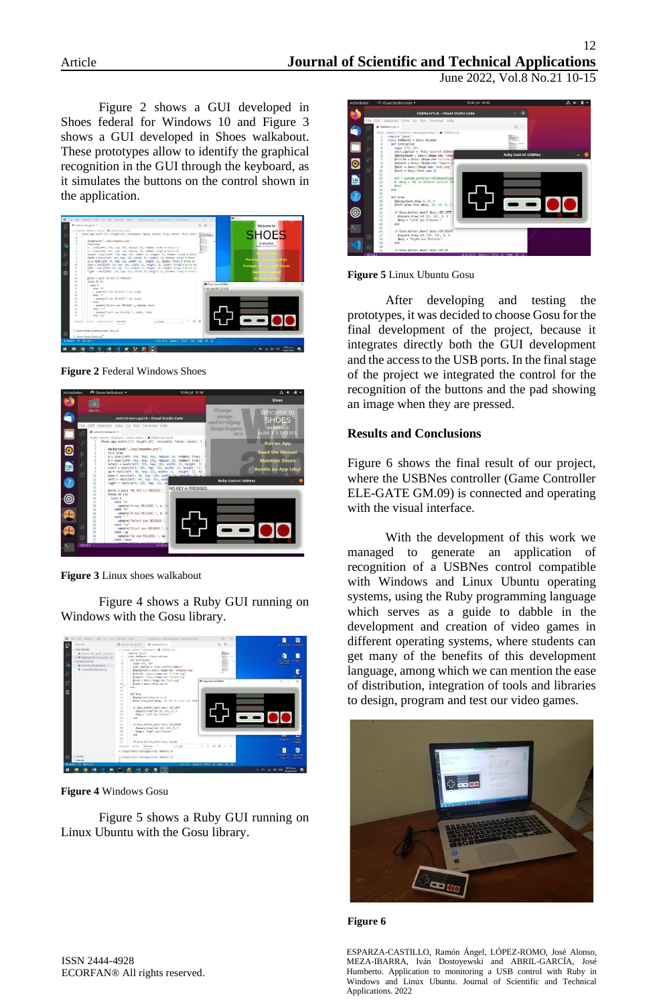June 2022, Vol.8 No.21 10-15

Figure 2 shows a GUI developed in Shoes federal for Windows 10 and Figure 3 shows a GUI developed in Shoes walkabout. These prototypes allow to identify the graphical recognition in the GUI through the keyboard, as it simulates the buttons on the control shown in the application.



**Figure 2** Federal Windows Shoes



**Figure 3** Linux shoes walkabout

Figure 4 shows a Ruby GUI running on Windows with the Gosu library.



**Figure 4** Windows Gosu

Figure 5 shows a Ruby GUI running on Linux Ubuntu with the Gosu library.



**Figure 5** Linux Ubuntu Gosu

After developing and testing the prototypes, it was decided to choose Gosu for the final development of the project, because it integrates directly both the GUI development and the access to the USB ports. In the final stage of the project we integrated the control for the recognition of the buttons and the pad showing an image when they are pressed.

### **Results and Conclusions**

Figure 6 shows the final result of our project, where the USBNes controller (Game Controller ELE-GATE GM.09) is connected and operating with the visual interface.

With the development of this work we managed to generate an application of recognition of a USBNes control compatible with Windows and Linux Ubuntu operating systems, using the Ruby programming language which serves as a guide to dabble in the development and creation of video games in different operating systems, where students can get many of the benefits of this development language, among which we can mention the ease of distribution, integration of tools and libraries to design, program and test our video games.





ESPARZA-CASTILLO, Ramón Ángel, LÓPEZ-ROMO, José Alonso, MEZA-IBARRA, Iván Dostoyewski and ABRIL-GARCÍA, José Humberto. Application to monitoring a USB control with Ruby in Windows and Linux Ubuntu. Journal of Scientific and Technical Applications. 2022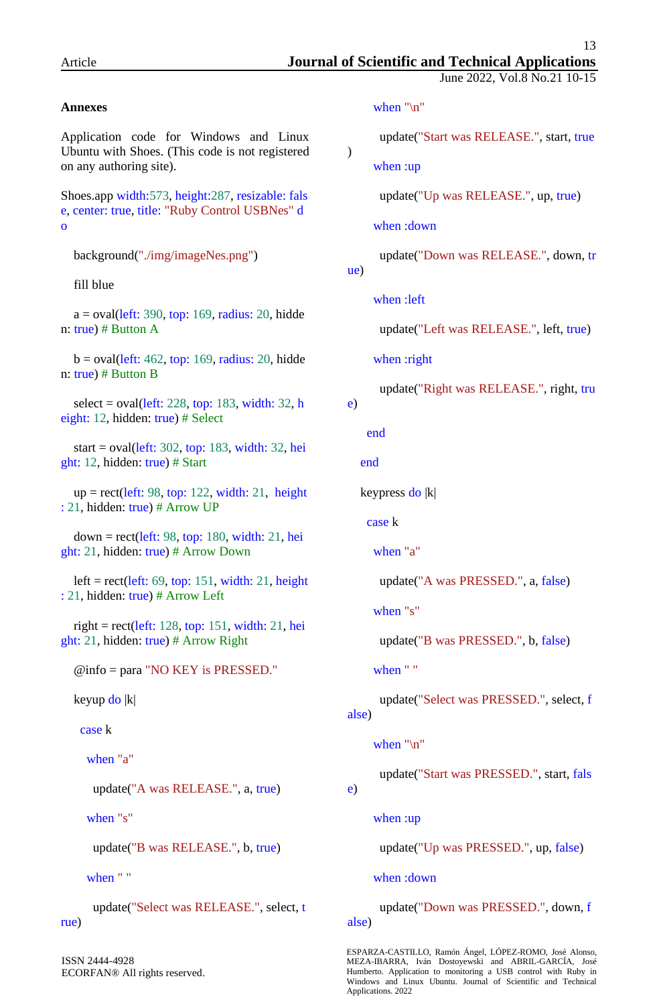June 2022, Vol.8 No.21 10-15

## **Annexes**

Application code for Windows and Linux Ubuntu with Shoes. (This code is not registered on any authoring site).

Shoes.app width:573, height:287, resizable: fals e, center: true, title: "Ruby Control USBNes" d o

background("./img/imageNes.png")

fill blue

 $a = \text{oval}(\text{left: } 390, \text{top: } 169, \text{radius: } 20, \text{ hidden})$ n: true) # Button A

 $b = \text{oval}(\text{left: } 462, \text{top: } 169, \text{radius: } 20, \text{ hidden})$ n: true) # Button B

select = oval $(\text{left: } 228, \text{top: } 183, \text{width: } 32, \text{h})$ eight: 12, hidden: true) # Select

 start = oval(left: 302, top: 183, width: 32, hei ght: 12, hidden: true) # Start

 $up = rect(left: 98, top: 122, width: 21, height)$ : 21, hidden: true) # Arrow UP

 down = rect(left: 98, top: 180, width: 21, hei ght: 21, hidden: true) # Arrow Down

left =  $rect(left: 69, top: 151, width: 21, height)$ : 21, hidden: true) # Arrow Left

right = rect(left: 128, top: 151, width: 21, hei ght: 21, hidden: true) # Arrow Right

@info = para "NO KEY is PRESSED."

keyup do |k|

case k

when "a"

update("A was RELEASE.", a, true)

when "s"

update("B was RELEASE.", b, true)

when " "

 update("Select was RELEASE.", select, t rue)

ISSN 2444-4928 ECORFAN® All rights reserved. when "\n"

update("Start was RELEASE.", start, true

when :up

update("Up was RELEASE.", up, true)

when :down

update("Down was RELEASE.", down, tr

ue)

)

when :left

```
 update("Left was RELEASE.", left, true)
```
when :right

update("Right was RELEASE.", right, tru

e)

end

end

keypress do |k|

case k

when "a"

update("A was PRESSED.", a, false)

when "s"

update("B was PRESSED.", b, false)

when " "

 update("Select was PRESSED.", select, f alse)

when "\n"

update("Start was PRESSED.", start, fals

when :up

e)

update("Up was PRESSED.", up, false)

when :down

 update("Down was PRESSED.", down, f alse)

ESPARZA-CASTILLO, Ramón Ángel, LÓPEZ-ROMO, José Alonso, MEZA-IBARRA, Iván Dostoyewski and ABRIL-GARCÍA, José Humberto. Application to monitoring a USB control with Ruby in Windows and Linux Ubuntu. Journal of Scientific and Technical Applications. 2022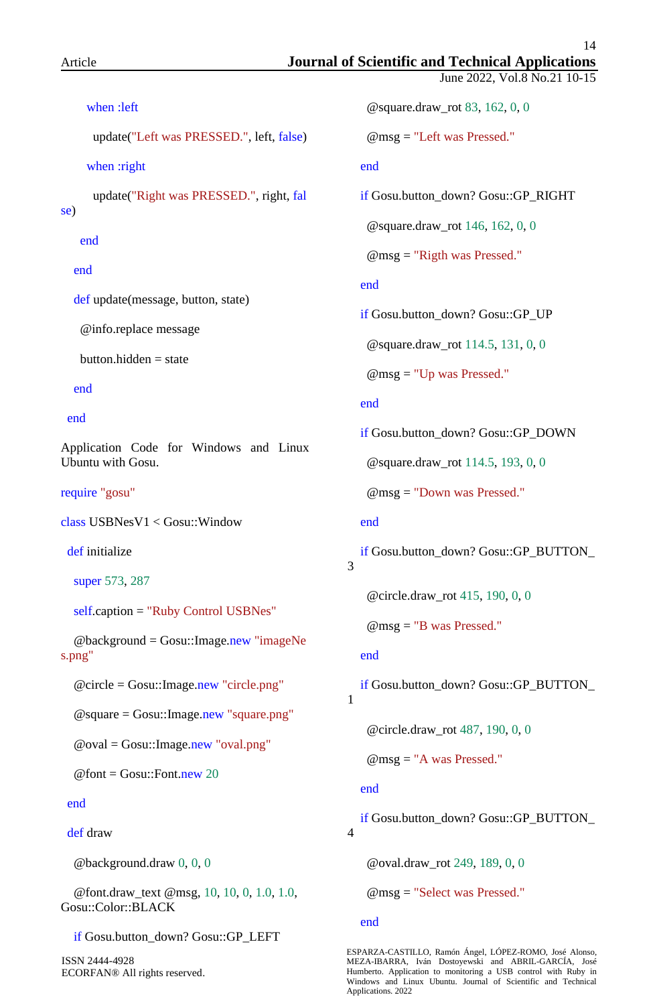se)

end

end

end

end

June 2022, Vol.8 No.21 10-15 when :left update("Left was PRESSED.", left, false) when :right update("Right was PRESSED.", right, fal def update(message, button, state) @info.replace message  $button.hidden = state$ Application Code for Windows and Linux Ubuntu with Gosu. require "gosu" class USBNesV1 < Gosu::Window def initialize super 573, 287 self.caption = "Ruby Control USBNes" @background = Gosu::Image.new "imageNe @circle = Gosu::Image.new "circle.png" @square = Gosu::Image.new "square.png"  $@$ oval = Gosu::Image.new "oval.png"  $\omega$  font = Gosu::Font.new 20 @square.draw\_rot 83, 162, 0, 0 @msg = "Left was Pressed." end @square.draw\_rot 146, 162, 0, 0 @msg = "Rigth was Pressed." end if Gosu.button\_down? Gosu::GP\_UP @square.draw\_rot 114.5, 131, 0, 0 @msg = "Up was Pressed." end if Gosu.button\_down? Gosu::GP\_DOWN @square.draw\_rot 114.5, 193, 0, 0 @msg = "Down was Pressed." end 3 @circle.draw\_rot 415, 190, 0, 0 @msg = "B was Pressed." end 1 @circle.draw\_rot 487, 190, 0, 0 @msg = "A was Pressed."

#### end

s.png"

def draw

@background.draw 0, 0, 0

 @font.draw\_text @msg, 10, 10, 0, 1.0, 1.0, Gosu::Color::BLACK

```
 if Gosu.button_down? Gosu::GP_LEFT
```
ISSN 2444-4928 ECORFAN® All rights reserved. if Gosu.button\_down? Gosu::GP\_RIGHT

if Gosu.button\_down? Gosu::GP\_BUTTON\_

if Gosu.button\_down? Gosu::GP\_BUTTON\_

#### end

 if Gosu.button\_down? Gosu::GP\_BUTTON\_ 4

@oval.draw\_rot 249, 189, 0, 0

@msg = "Select was Pressed."

#### end

ESPARZA-CASTILLO, Ramón Ángel, LÓPEZ-ROMO, José Alonso, MEZA-IBARRA, Iván Dostoyewski and ABRIL-GARCÍA, José Humberto. Application to monitoring a USB control with Ruby in Windows and Linux Ubuntu. Journal of Scientific and Technical Applications. 2022